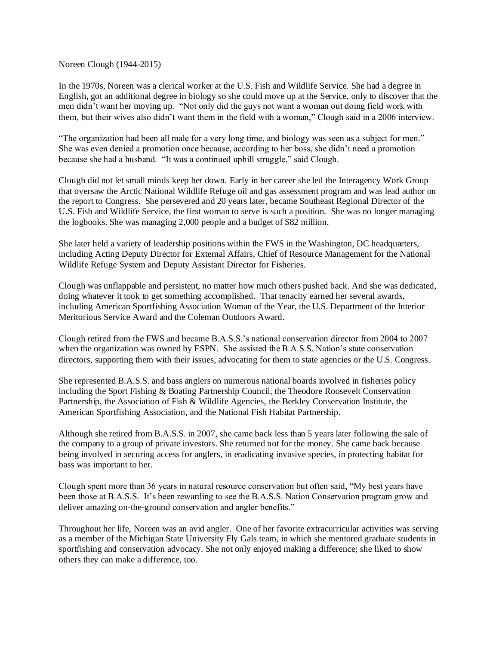Noreen Clough (1944-2015)

In the 1970s, Noreen was a clerical worker at the U.S. Fish and Wildlife Service. She had a degree in English, got an additional degree in biology so she could move up at the Service, only to discover that the men didn't want her moving up. "Not only did the guys not want a woman out doing field work with them, but their wives also didn't want them in the field with a woman," Clough said in a 2006 interview.

"The organization had been all male for a very long time, and biology was seen as a subject for men." She was even denied a promotion once because, according to her boss, she didn't need a promotion because she had a husband. "It was a continued uphill struggle," said Clough.

Clough did not let small minds keep her down. Early in her career she led the Interagency Work Group that oversaw the Arctic National Wildlife Refuge oil and gas assessment program and was lead author on the report to Congress. She persevered and 20 years later, became Southeast Regional Director of the U.S. Fish and Wildlife Service, the first woman to serve is such a position. She was no longer managing the logbooks. She was managing 2,000 people and a budget of \$82 million.

She later held a variety of leadership positions within the FWS in the Washington, DC headquarters, including Acting Deputy Director for External Affairs, Chief of Resource Management for the National Wildlife Refuge System and Deputy Assistant Director for Fisheries.

Clough was unflappable and persistent, no matter how much others pushed back. And she was dedicated, doing whatever it took to get something accomplished. That tenacity earned her several awards, including American Sportfishing Association Woman of the Year, the U.S. Department of the Interior Meritorious Service Award and the Coleman Outdoors Award.

Clough retired from the FWS and became B.A.S.S.'s national conservation director from 2004 to 2007 when the organization was owned by ESPN. She assisted the B.A.S.S. Nation's state conservation directors, supporting them with their issues, advocating for them to state agencies or the U.S. Congress.

She represented B.A.S.S. and bass anglers on numerous national boards involved in fisheries policy including the Sport Fishing & Boating Partnership Council, the Theodore Roosevelt Conservation Partnership, the Association of Fish & Wildlife Agencies, the Berkley Conservation Institute, the American Sportfishing Association, and the National Fish Habitat Partnership.

Although she retired from B.A.S.S. in 2007, she came back less than 5 years later following the sale of the company to a group of private investors. She returned not for the money. She came back because being involved in securing access for anglers, in eradicating invasive species, in protecting habitat for bass was important to her.

Clough spent more than 36 years in natural resource conservation but often said, "My best years have been those at B.A.S.S. It's been rewarding to see the B.A.S.S. Nation Conservation program grow and deliver amazing on-the-ground conservation and angler benefits."

Throughout her life, Noreen was an avid angler. One of her favorite extracurricular activities was serving as a member of the Michigan State University Fly Gals team, in which she mentored graduate students in sportfishing and conservation advocacy. She not only enjoyed making a difference; she liked to show others they can make a difference, too.